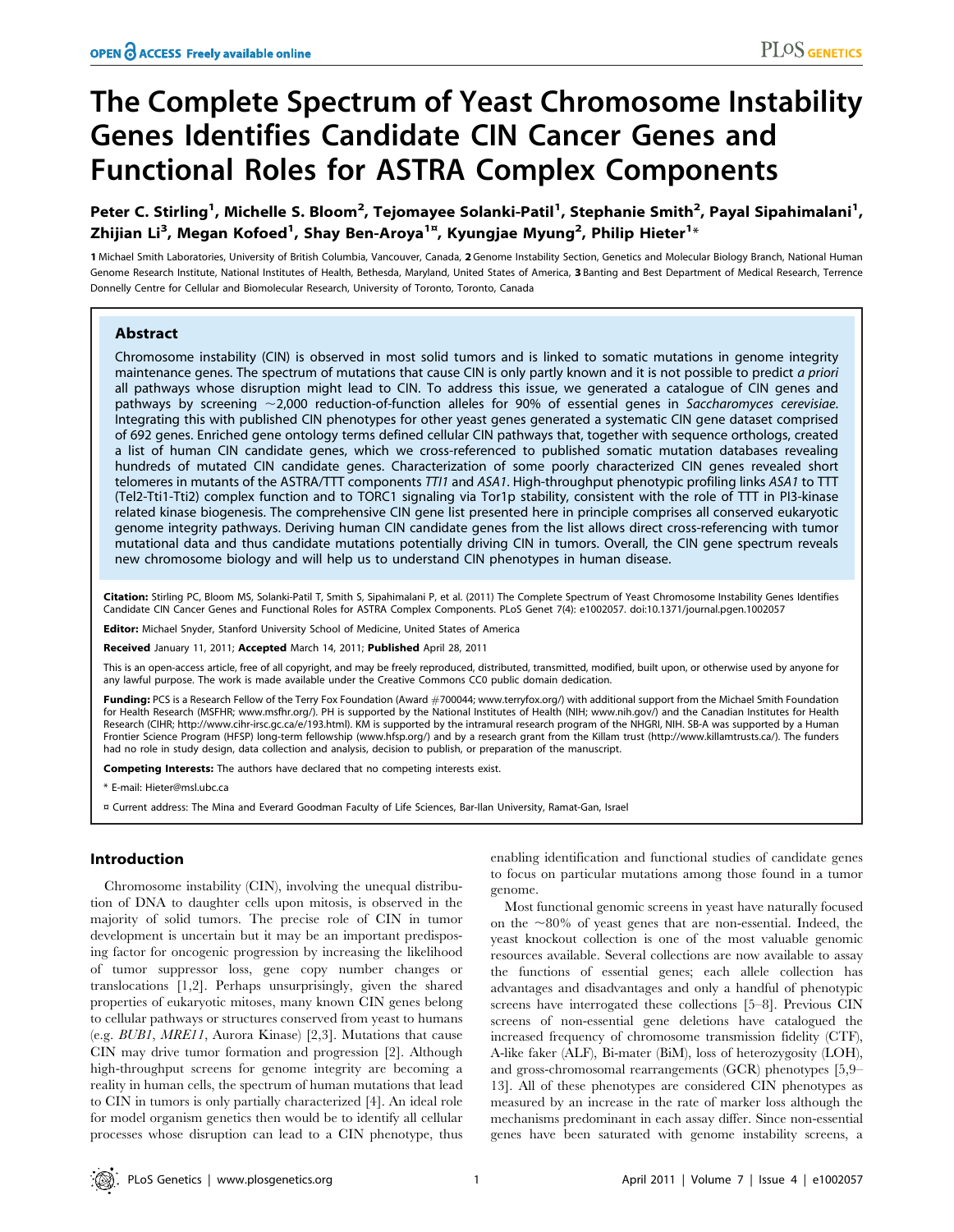# The Complete Spectrum of Yeast Chromosome Instability Genes Identifies Candidate CIN Cancer Genes and Functional Roles for ASTRA Complex Components

Peter C. Stirling<sup>1</sup>, Michelle S. Bloom<sup>2</sup>, Tejomayee Solanki-Patil<sup>1</sup>, Stephanie Smith<sup>2</sup>, Payal Sipahimalani<sup>1</sup>, Zhijian Li $^3$ , Megan Kofoed $^1$ , Shay Ben-Aroya $^{1\mathrm{z}}$ , Kyungjae Myung $^2$ , Philip Hieter $^{1\mathrm{z}}$ 

1 Michael Smith Laboratories, University of British Columbia, Vancouver, Canada, 2 Genome Instability Section, Genetics and Molecular Biology Branch, National Human Genome Research Institute, National Institutes of Health, Bethesda, Maryland, United States of America, 3 Banting and Best Department of Medical Research, Terrence Donnelly Centre for Cellular and Biomolecular Research, University of Toronto, Toronto, Canada

## Abstract

Chromosome instability (CIN) is observed in most solid tumors and is linked to somatic mutations in genome integrity maintenance genes. The spectrum of mutations that cause CIN is only partly known and it is not possible to predict a priori all pathways whose disruption might lead to CIN. To address this issue, we generated a catalogue of CIN genes and pathways by screening  $\sim$ 2,000 reduction-of-function alleles for 90% of essential genes in Saccharomyces cerevisiae. Integrating this with published CIN phenotypes for other yeast genes generated a systematic CIN gene dataset comprised of 692 genes. Enriched gene ontology terms defined cellular CIN pathways that, together with sequence orthologs, created a list of human CIN candidate genes, which we cross-referenced to published somatic mutation databases revealing hundreds of mutated CIN candidate genes. Characterization of some poorly characterized CIN genes revealed short telomeres in mutants of the ASTRA/TTT components TT/1 and ASA1. High-throughput phenotypic profiling links ASA1 to TTT (Tel2-Tti1-Tti2) complex function and to TORC1 signaling via Tor1p stability, consistent with the role of TTT in PI3-kinase related kinase biogenesis. The comprehensive CIN gene list presented here in principle comprises all conserved eukaryotic genome integrity pathways. Deriving human CIN candidate genes from the list allows direct cross-referencing with tumor mutational data and thus candidate mutations potentially driving CIN in tumors. Overall, the CIN gene spectrum reveals new chromosome biology and will help us to understand CIN phenotypes in human disease.

Citation: Stirling PC, Bloom MS, Solanki-Patil T, Smith S, Sipahimalani P, et al. (2011) The Complete Spectrum of Yeast Chromosome Instability Genes Identifies Candidate CIN Cancer Genes and Functional Roles for ASTRA Complex Components. PLoS Genet 7(4): e1002057. doi:10.1371/journal.pgen.1002057

Editor: Michael Snyder, Stanford University School of Medicine, United States of America

Received January 11, 2011; Accepted March 14, 2011; Published April 28, 2011

This is an open-access article, free of all copyright, and may be freely reproduced, distributed, transmitted, modified, built upon, or otherwise used by anyone for any lawful purpose. The work is made available under the Creative Commons CC0 public domain dedication.

Funding: PCS is a Research Fellow of the Terry Fox Foundation (Award #700044; www.terryfox.org/) with additional support from the Michael Smith Foundation for Health Research (MSFHR; www.msfhr.org/). PH is supported by the National Institutes of Health (NIH; www.nih.gov/) and the Canadian Institutes for Health Research (CIHR; http://www.cihr-irsc.gc.ca/e/193.html). KM is supported by the intramural research program of the NHGRI, NIH. SB-A was supported by a Human Frontier Science Program (HFSP) long-term fellowship (www.hfsp.org/) and by a research grant from the Killam trust (http://www.killamtrusts.ca/). The funders had no role in study design, data collection and analysis, decision to publish, or preparation of the manuscript.

Competing Interests: The authors have declared that no competing interests exist.

\* E-mail: Hieter@msl.ubc.ca

¤ Current address: The Mina and Everard Goodman Faculty of Life Sciences, Bar-Ilan University, Ramat-Gan, Israel

# Introduction

Chromosome instability (CIN), involving the unequal distribution of DNA to daughter cells upon mitosis, is observed in the majority of solid tumors. The precise role of CIN in tumor development is uncertain but it may be an important predisposing factor for oncogenic progression by increasing the likelihood of tumor suppressor loss, gene copy number changes or translocations [1,2]. Perhaps unsurprisingly, given the shared properties of eukaryotic mitoses, many known CIN genes belong to cellular pathways or structures conserved from yeast to humans (e.g. BUB1, MRE11, Aurora Kinase) [2,3]. Mutations that cause CIN may drive tumor formation and progression [2]. Although high-throughput screens for genome integrity are becoming a reality in human cells, the spectrum of human mutations that lead to CIN in tumors is only partially characterized [4]. An ideal role for model organism genetics then would be to identify all cellular processes whose disruption can lead to a CIN phenotype, thus enabling identification and functional studies of candidate genes to focus on particular mutations among those found in a tumor genome.

Most functional genomic screens in yeast have naturally focused on the  $\sim80\%$  of yeast genes that are non-essential. Indeed, the yeast knockout collection is one of the most valuable genomic resources available. Several collections are now available to assay the functions of essential genes; each allele collection has advantages and disadvantages and only a handful of phenotypic screens have interrogated these collections [5–8]. Previous CIN screens of non-essential gene deletions have catalogued the increased frequency of chromosome transmission fidelity (CTF), A-like faker (ALF), Bi-mater (BiM), loss of heterozygosity (LOH), and gross-chromosomal rearrangements (GCR) phenotypes [5,9– 13]. All of these phenotypes are considered CIN phenotypes as measured by an increase in the rate of marker loss although the mechanisms predominant in each assay differ. Since non-essential genes have been saturated with genome instability screens, a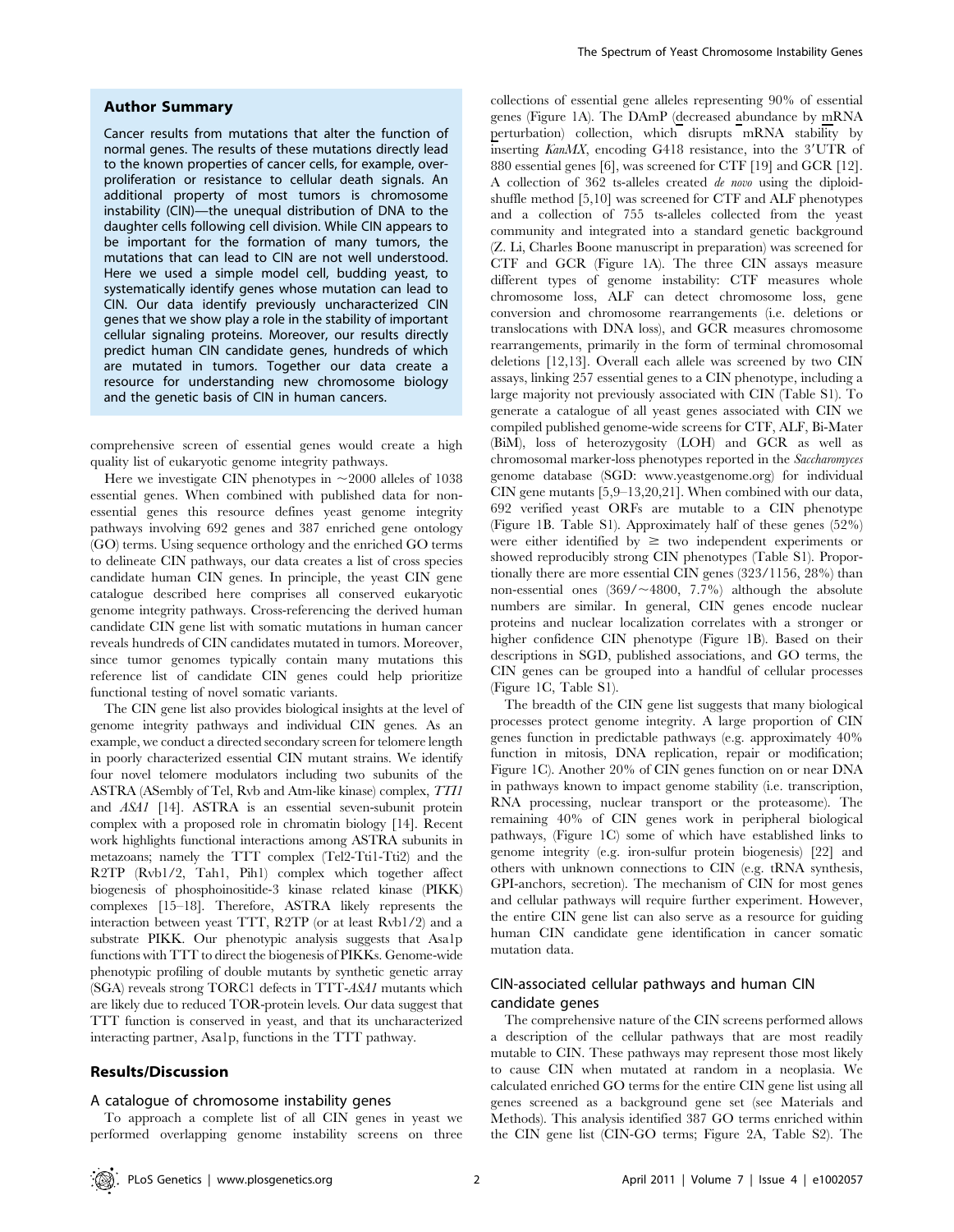## Author Summary

Cancer results from mutations that alter the function of normal genes. The results of these mutations directly lead to the known properties of cancer cells, for example, overproliferation or resistance to cellular death signals. An additional property of most tumors is chromosome instability (CIN)—the unequal distribution of DNA to the daughter cells following cell division. While CIN appears to be important for the formation of many tumors, the mutations that can lead to CIN are not well understood. Here we used a simple model cell, budding yeast, to systematically identify genes whose mutation can lead to CIN. Our data identify previously uncharacterized CIN genes that we show play a role in the stability of important cellular signaling proteins. Moreover, our results directly predict human CIN candidate genes, hundreds of which are mutated in tumors. Together our data create a resource for understanding new chromosome biology and the genetic basis of CIN in human cancers.

comprehensive screen of essential genes would create a high quality list of eukaryotic genome integrity pathways.

Here we investigate CIN phenotypes in  $\sim$ 2000 alleles of 1038 essential genes. When combined with published data for nonessential genes this resource defines yeast genome integrity pathways involving 692 genes and 387 enriched gene ontology (GO) terms. Using sequence orthology and the enriched GO terms to delineate CIN pathways, our data creates a list of cross species candidate human CIN genes. In principle, the yeast CIN gene catalogue described here comprises all conserved eukaryotic genome integrity pathways. Cross-referencing the derived human candidate CIN gene list with somatic mutations in human cancer reveals hundreds of CIN candidates mutated in tumors. Moreover, since tumor genomes typically contain many mutations this reference list of candidate CIN genes could help prioritize functional testing of novel somatic variants.

The CIN gene list also provides biological insights at the level of genome integrity pathways and individual CIN genes. As an example, we conduct a directed secondary screen for telomere length in poorly characterized essential CIN mutant strains. We identify four novel telomere modulators including two subunits of the ASTRA (ASembly of Tel, Rvb and Atm-like kinase) complex, TTI1 and ASA1 [14]. ASTRA is an essential seven-subunit protein complex with a proposed role in chromatin biology [14]. Recent work highlights functional interactions among ASTRA subunits in metazoans; namely the TTT complex (Tel2-Tti1-Tti2) and the R2TP (Rvb1/2, Tah1, Pih1) complex which together affect biogenesis of phosphoinositide-3 kinase related kinase (PIKK) complexes [15–18]. Therefore, ASTRA likely represents the interaction between yeast TTT, R2TP (or at least Rvb1/2) and a substrate PIKK. Our phenotypic analysis suggests that Asa1p functions with TTT to direct the biogenesis of PIKKs. Genome-wide phenotypic profiling of double mutants by synthetic genetic array (SGA) reveals strong TORC1 defects in TTT-ASA1 mutants which are likely due to reduced TOR-protein levels. Our data suggest that TTT function is conserved in yeast, and that its uncharacterized interacting partner, Asa1p, functions in the TTT pathway.

# Results/Discussion

#### A catalogue of chromosome instability genes

To approach a complete list of all CIN genes in yeast we performed overlapping genome instability screens on three collections of essential gene alleles representing 90% of essential genes (Figure 1A). The DAmP (decreased abundance by mRNA perturbation) collection, which disrupts mRNA stability by inserting  $KanMX$ , encoding G418 resistance, into the 3'UTR of 880 essential genes [6], was screened for CTF [19] and GCR [12]. A collection of 362 ts-alleles created de novo using the diploidshuffle method [5,10] was screened for CTF and ALF phenotypes and a collection of 755 ts-alleles collected from the yeast community and integrated into a standard genetic background (Z. Li, Charles Boone manuscript in preparation) was screened for CTF and GCR (Figure 1A). The three CIN assays measure different types of genome instability: CTF measures whole chromosome loss, ALF can detect chromosome loss, gene conversion and chromosome rearrangements (i.e. deletions or translocations with DNA loss), and GCR measures chromosome rearrangements, primarily in the form of terminal chromosomal deletions [12,13]. Overall each allele was screened by two CIN assays, linking 257 essential genes to a CIN phenotype, including a large majority not previously associated with CIN (Table S1). To generate a catalogue of all yeast genes associated with CIN we compiled published genome-wide screens for CTF, ALF, Bi-Mater (BiM), loss of heterozygosity (LOH) and GCR as well as chromosomal marker-loss phenotypes reported in the Saccharomyces genome database (SGD: www.yeastgenome.org) for individual CIN gene mutants [5,9–13,20,21]. When combined with our data, 692 verified yeast ORFs are mutable to a CIN phenotype (Figure 1B. Table S1). Approximately half of these genes (52%) were either identified by  $\geq$  two independent experiments or showed reproducibly strong CIN phenotypes (Table S1). Proportionally there are more essential CIN genes (323/1156, 28%) than non-essential ones  $(369/\sim4800, 7.7%)$  although the absolute numbers are similar. In general, CIN genes encode nuclear proteins and nuclear localization correlates with a stronger or higher confidence CIN phenotype (Figure 1B). Based on their descriptions in SGD, published associations, and GO terms, the CIN genes can be grouped into a handful of cellular processes (Figure 1C, Table S1).

The breadth of the CIN gene list suggests that many biological processes protect genome integrity. A large proportion of CIN genes function in predictable pathways (e.g. approximately 40% function in mitosis, DNA replication, repair or modification; Figure 1C). Another 20% of CIN genes function on or near DNA in pathways known to impact genome stability (i.e. transcription, RNA processing, nuclear transport or the proteasome). The remaining 40% of CIN genes work in peripheral biological pathways, (Figure 1C) some of which have established links to genome integrity (e.g. iron-sulfur protein biogenesis) [22] and others with unknown connections to CIN (e.g. tRNA synthesis, GPI-anchors, secretion). The mechanism of CIN for most genes and cellular pathways will require further experiment. However, the entire CIN gene list can also serve as a resource for guiding human CIN candidate gene identification in cancer somatic mutation data.

# CIN-associated cellular pathways and human CIN candidate genes

The comprehensive nature of the CIN screens performed allows a description of the cellular pathways that are most readily mutable to CIN. These pathways may represent those most likely to cause CIN when mutated at random in a neoplasia. We calculated enriched GO terms for the entire CIN gene list using all genes screened as a background gene set (see Materials and Methods). This analysis identified 387 GO terms enriched within the CIN gene list (CIN-GO terms; Figure 2A, Table S2). The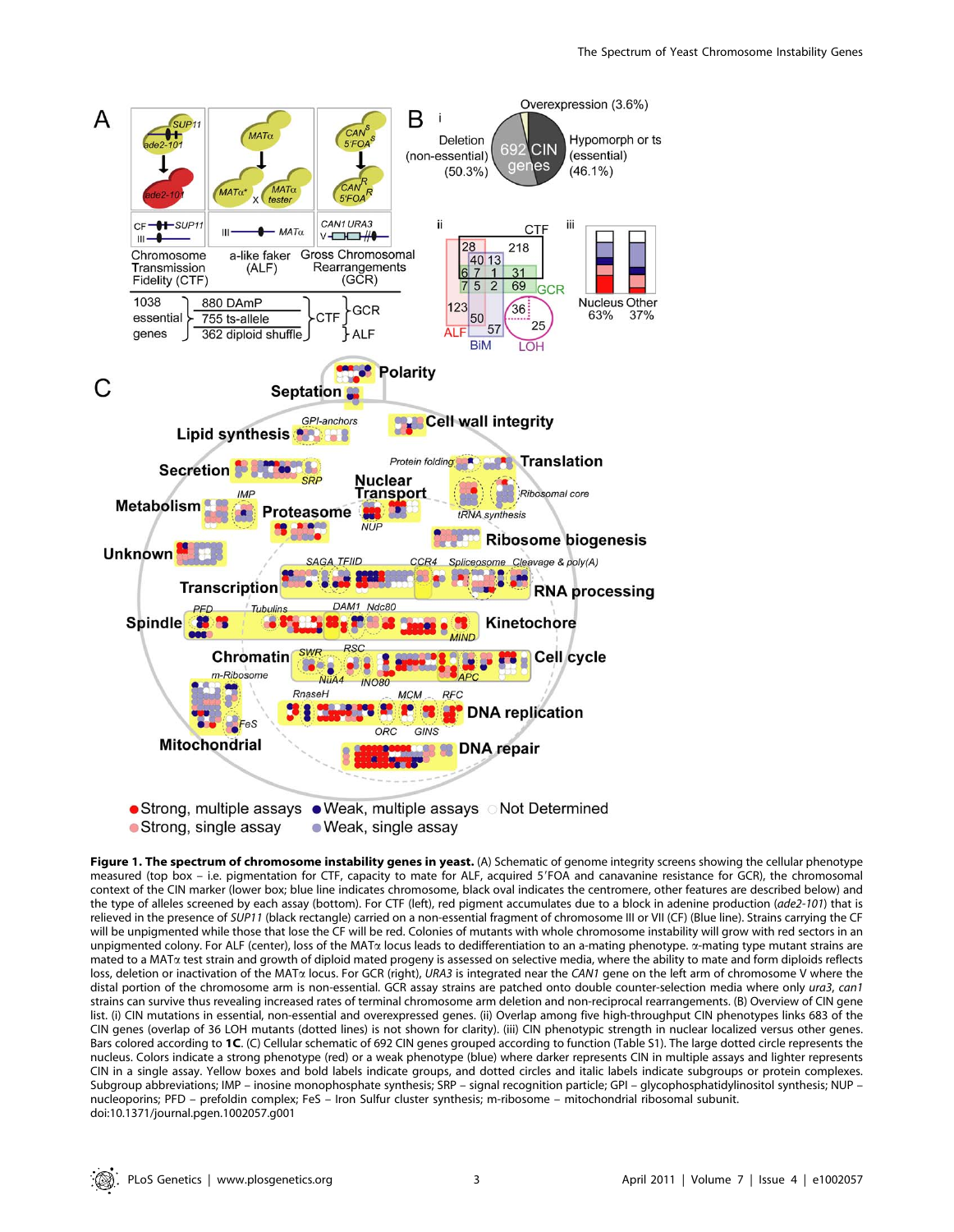

Figure 1. The spectrum of chromosome instability genes in yeast. (A) Schematic of genome integrity screens showing the cellular phenotype measured (top box – i.e. pigmentation for CTF, capacity to mate for ALF, acquired 5'FOA and canavanine resistance for GCR), the chromosomal context of the CIN marker (lower box; blue line indicates chromosome, black oval indicates the centromere, other features are described below) and the type of alleles screened by each assay (bottom). For CTF (left), red pigment accumulates due to a block in adenine production (ade2-101) that is relieved in the presence of SUP11 (black rectangle) carried on a non-essential fragment of chromosome III or VII (CF) (Blue line). Strains carrying the CF will be unpigmented while those that lose the CF will be red. Colonies of mutants with whole chromosome instability will grow with red sectors in an unpigmented colony. For ALF (center), loss of the MAT<sub>a</sub> locus leads to dedifferentiation to an a-mating phenotype.  $\alpha$ -mating type mutant strains are mated to a MATa test strain and growth of diploid mated progeny is assessed on selective media, where the ability to mate and form diploids reflects loss, deletion or inactivation of the MAT $\alpha$  locus. For GCR (right), URA3 is integrated near the CAN1 gene on the left arm of chromosome V where the distal portion of the chromosome arm is non-essential. GCR assay strains are patched onto double counter-selection media where only ura3, can1 strains can survive thus revealing increased rates of terminal chromosome arm deletion and non-reciprocal rearrangements. (B) Overview of CIN gene list. (i) CIN mutations in essential, non-essential and overexpressed genes. (ii) Overlap among five high-throughput CIN phenotypes links 683 of the CIN genes (overlap of 36 LOH mutants (dotted lines) is not shown for clarity). (iii) CIN phenotypic strength in nuclear localized versus other genes. Bars colored according to 1C. (C) Cellular schematic of 692 CIN genes grouped according to function (Table S1). The large dotted circle represents the nucleus. Colors indicate a strong phenotype (red) or a weak phenotype (blue) where darker represents CIN in multiple assays and lighter represents CIN in a single assay. Yellow boxes and bold labels indicate groups, and dotted circles and italic labels indicate subgroups or protein complexes. Subgroup abbreviations; IMP – inosine monophosphate synthesis; SRP – signal recognition particle; GPI – glycophosphatidylinositol synthesis; NUP – nucleoporins; PFD – prefoldin complex; FeS – Iron Sulfur cluster synthesis; m-ribosome – mitochondrial ribosomal subunit. doi:10.1371/journal.pgen.1002057.g001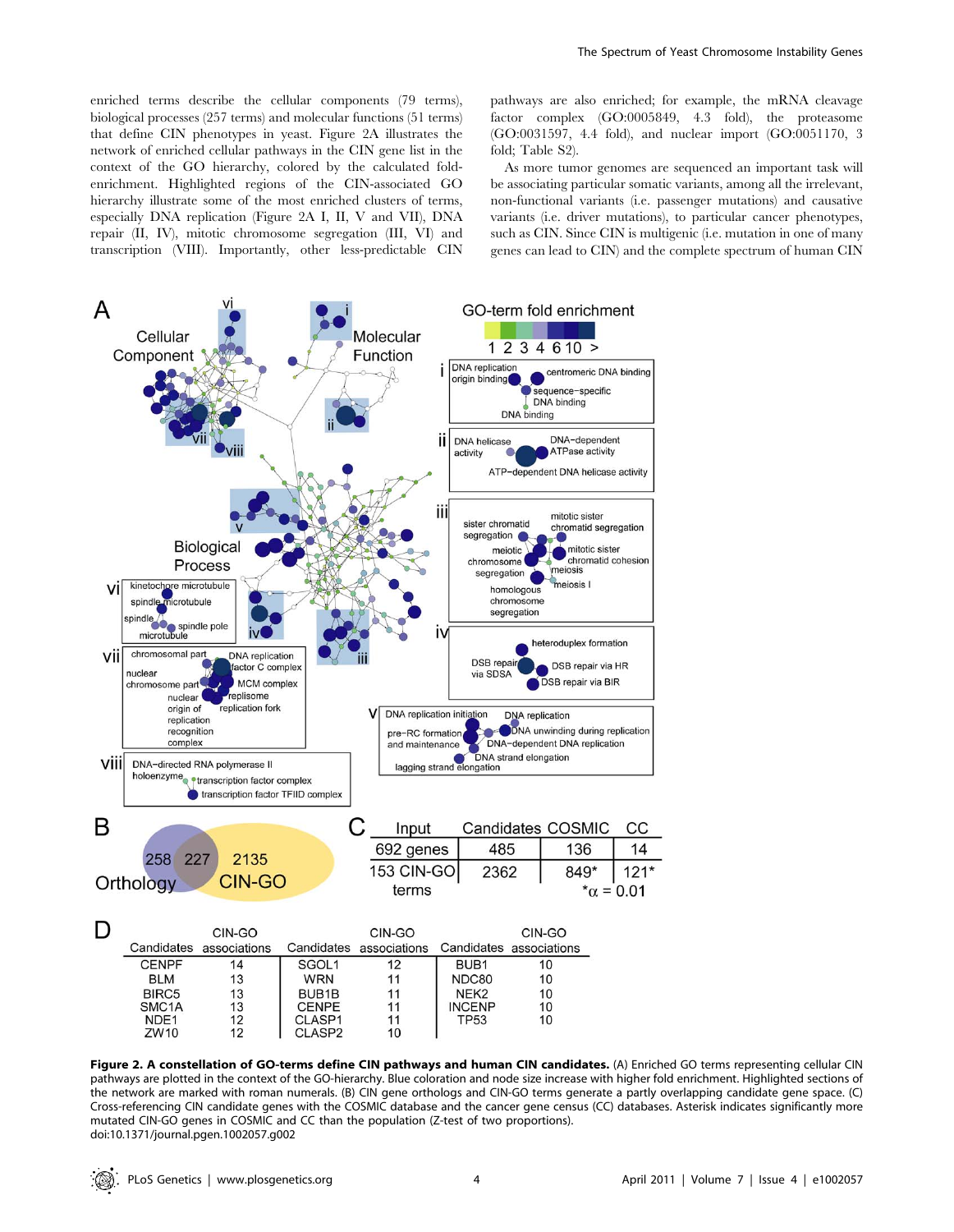enriched terms describe the cellular components (79 terms), biological processes (257 terms) and molecular functions (51 terms) that define CIN phenotypes in yeast. Figure 2A illustrates the network of enriched cellular pathways in the CIN gene list in the context of the GO hierarchy, colored by the calculated foldenrichment. Highlighted regions of the CIN-associated GO hierarchy illustrate some of the most enriched clusters of terms, especially DNA replication (Figure 2A I, II, V and VII), DNA repair (II, IV), mitotic chromosome segregation (III, VI) and transcription (VIII). Importantly, other less-predictable CIN pathways are also enriched; for example, the mRNA cleavage factor complex (GO:0005849, 4.3 fold), the proteasome (GO:0031597, 4.4 fold), and nuclear import (GO:0051170, 3 fold; Table S2).

As more tumor genomes are sequenced an important task will be associating particular somatic variants, among all the irrelevant, non-functional variants (i.e. passenger mutations) and causative variants (i.e. driver mutations), to particular cancer phenotypes, such as CIN. Since CIN is multigenic (i.e. mutation in one of many genes can lead to CIN) and the complete spectrum of human CIN



Figure 2. A constellation of GO-terms define CIN pathways and human CIN candidates. (A) Enriched GO terms representing cellular CIN pathways are plotted in the context of the GO-hierarchy. Blue coloration and node size increase with higher fold enrichment. Highlighted sections of the network are marked with roman numerals. (B) CIN gene orthologs and CIN-GO terms generate a partly overlapping candidate gene space. (C) Cross-referencing CIN candidate genes with the COSMIC database and the cancer gene census (CC) databases. Asterisk indicates significantly more mutated CIN-GO genes in COSMIC and CC than the population (Z-test of two proportions). doi:10.1371/journal.pgen.1002057.g002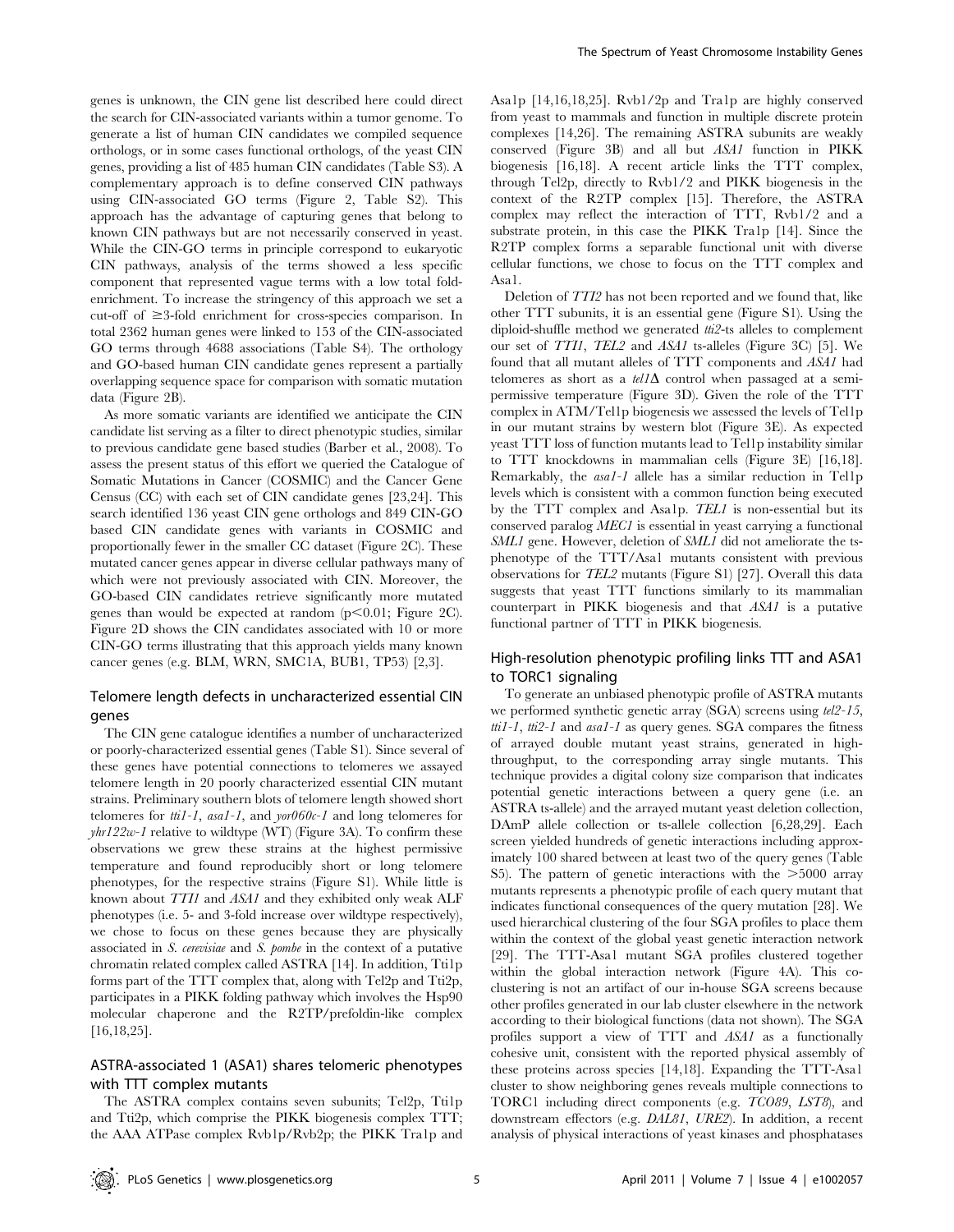genes is unknown, the CIN gene list described here could direct the search for CIN-associated variants within a tumor genome. To generate a list of human CIN candidates we compiled sequence orthologs, or in some cases functional orthologs, of the yeast CIN genes, providing a list of 485 human CIN candidates (Table S3). A complementary approach is to define conserved CIN pathways using CIN-associated GO terms (Figure 2, Table S2). This approach has the advantage of capturing genes that belong to known CIN pathways but are not necessarily conserved in yeast. While the CIN-GO terms in principle correspond to eukaryotic CIN pathways, analysis of the terms showed a less specific component that represented vague terms with a low total foldenrichment. To increase the stringency of this approach we set a cut-off of  $\geq$ 3-fold enrichment for cross-species comparison. In total 2362 human genes were linked to 153 of the CIN-associated GO terms through 4688 associations (Table S4). The orthology and GO-based human CIN candidate genes represent a partially overlapping sequence space for comparison with somatic mutation data (Figure 2B).

As more somatic variants are identified we anticipate the CIN candidate list serving as a filter to direct phenotypic studies, similar to previous candidate gene based studies (Barber et al., 2008). To assess the present status of this effort we queried the Catalogue of Somatic Mutations in Cancer (COSMIC) and the Cancer Gene Census (CC) with each set of CIN candidate genes [23,24]. This search identified 136 yeast CIN gene orthologs and 849 CIN-GO based CIN candidate genes with variants in COSMIC and proportionally fewer in the smaller CC dataset (Figure 2C). These mutated cancer genes appear in diverse cellular pathways many of which were not previously associated with CIN. Moreover, the GO-based CIN candidates retrieve significantly more mutated genes than would be expected at random  $(p<0.01;$  Figure 2C). Figure 2D shows the CIN candidates associated with 10 or more CIN-GO terms illustrating that this approach yields many known cancer genes (e.g. BLM, WRN, SMC1A, BUB1, TP53) [2,3].

# Telomere length defects in uncharacterized essential CIN genes

The CIN gene catalogue identifies a number of uncharacterized or poorly-characterized essential genes (Table S1). Since several of these genes have potential connections to telomeres we assayed telomere length in 20 poorly characterized essential CIN mutant strains. Preliminary southern blots of telomere length showed short telomeres for  $\text{tri-1}$ , asa1-1, and yor060c-1 and long telomeres for  $yhr122w-I$  relative to wildtype (WT) (Figure 3A). To confirm these observations we grew these strains at the highest permissive temperature and found reproducibly short or long telomere phenotypes, for the respective strains (Figure S1). While little is known about TTI1 and ASA1 and they exhibited only weak ALF phenotypes (i.e. 5- and 3-fold increase over wildtype respectively), we chose to focus on these genes because they are physically associated in S. cerevisiae and S. pombe in the context of a putative chromatin related complex called ASTRA [14]. In addition, Tti1p forms part of the TTT complex that, along with Tel2p and Tti2p, participates in a PIKK folding pathway which involves the Hsp90 molecular chaperone and the R2TP/prefoldin-like complex [16,18,25].

# ASTRA-associated 1 (ASA1) shares telomeric phenotypes with TTT complex mutants

The ASTRA complex contains seven subunits; Tel2p, Tti1p and Tti2p, which comprise the PIKK biogenesis complex TTT; the AAA ATPase complex Rvb1p/Rvb2p; the PIKK Tra1p and Asa1p [14,16,18,25]. Rvb1/2p and Tra1p are highly conserved from yeast to mammals and function in multiple discrete protein complexes [14,26]. The remaining ASTRA subunits are weakly conserved (Figure 3B) and all but ASA1 function in PIKK biogenesis [16,18]. A recent article links the TTT complex, through Tel2p, directly to Rvb1/2 and PIKK biogenesis in the context of the R2TP complex [15]. Therefore, the ASTRA complex may reflect the interaction of TTT, Rvb1/2 and a substrate protein, in this case the PIKK Tra1p [14]. Since the R2TP complex forms a separable functional unit with diverse cellular functions, we chose to focus on the TTT complex and Asa1.

Deletion of TTI2 has not been reported and we found that, like other TTT subunits, it is an essential gene (Figure S1). Using the diploid-shuffle method we generated tti2-ts alleles to complement our set of TTI1, TEL2 and ASA1 ts-alleles (Figure 3C) [5]. We found that all mutant alleles of TTT components and ASA1 had telomeres as short as a  $tell/\Delta$  control when passaged at a semipermissive temperature (Figure 3D). Given the role of the TTT complex in ATM/Tel1p biogenesis we assessed the levels of Tel1p in our mutant strains by western blot (Figure 3E). As expected yeast TTT loss of function mutants lead to Tel1p instability similar to TTT knockdowns in mammalian cells (Figure 3E) [16,18]. Remarkably, the asa1-1 allele has a similar reduction in Tel1p levels which is consistent with a common function being executed by the TTT complex and Asa1p. TEL1 is non-essential but its conserved paralog MEC1 is essential in yeast carrying a functional SML1 gene. However, deletion of SML1 did not ameliorate the tsphenotype of the TTT/Asa1 mutants consistent with previous observations for TEL2 mutants (Figure S1) [27]. Overall this data suggests that yeast TTT functions similarly to its mammalian counterpart in PIKK biogenesis and that ASA1 is a putative functional partner of TTT in PIKK biogenesis.

# High-resolution phenotypic profiling links TTT and ASA1 to TORC1 signaling

To generate an unbiased phenotypic profile of ASTRA mutants we performed synthetic genetic array (SGA) screens using tel2-15,  $\text{tri1-1}, \text{tri2-1}$  and  $\text{asal-1}$  as query genes. SGA compares the fitness of arrayed double mutant yeast strains, generated in highthroughput, to the corresponding array single mutants. This technique provides a digital colony size comparison that indicates potential genetic interactions between a query gene (i.e. an ASTRA ts-allele) and the arrayed mutant yeast deletion collection, DAmP allele collection or ts-allele collection [6,28,29]. Each screen yielded hundreds of genetic interactions including approximately 100 shared between at least two of the query genes (Table S5). The pattern of genetic interactions with the  $>5000$  array mutants represents a phenotypic profile of each query mutant that indicates functional consequences of the query mutation [28]. We used hierarchical clustering of the four SGA profiles to place them within the context of the global yeast genetic interaction network [29]. The TTT-Asa1 mutant SGA profiles clustered together within the global interaction network (Figure 4A). This coclustering is not an artifact of our in-house SGA screens because other profiles generated in our lab cluster elsewhere in the network according to their biological functions (data not shown). The SGA profiles support a view of TTT and ASA1 as a functionally cohesive unit, consistent with the reported physical assembly of these proteins across species [14,18]. Expanding the TTT-Asa1 cluster to show neighboring genes reveals multiple connections to TORC1 including direct components (e.g. TCO89, LST8), and downstream effectors (e.g. DAL81, URE2). In addition, a recent analysis of physical interactions of yeast kinases and phosphatases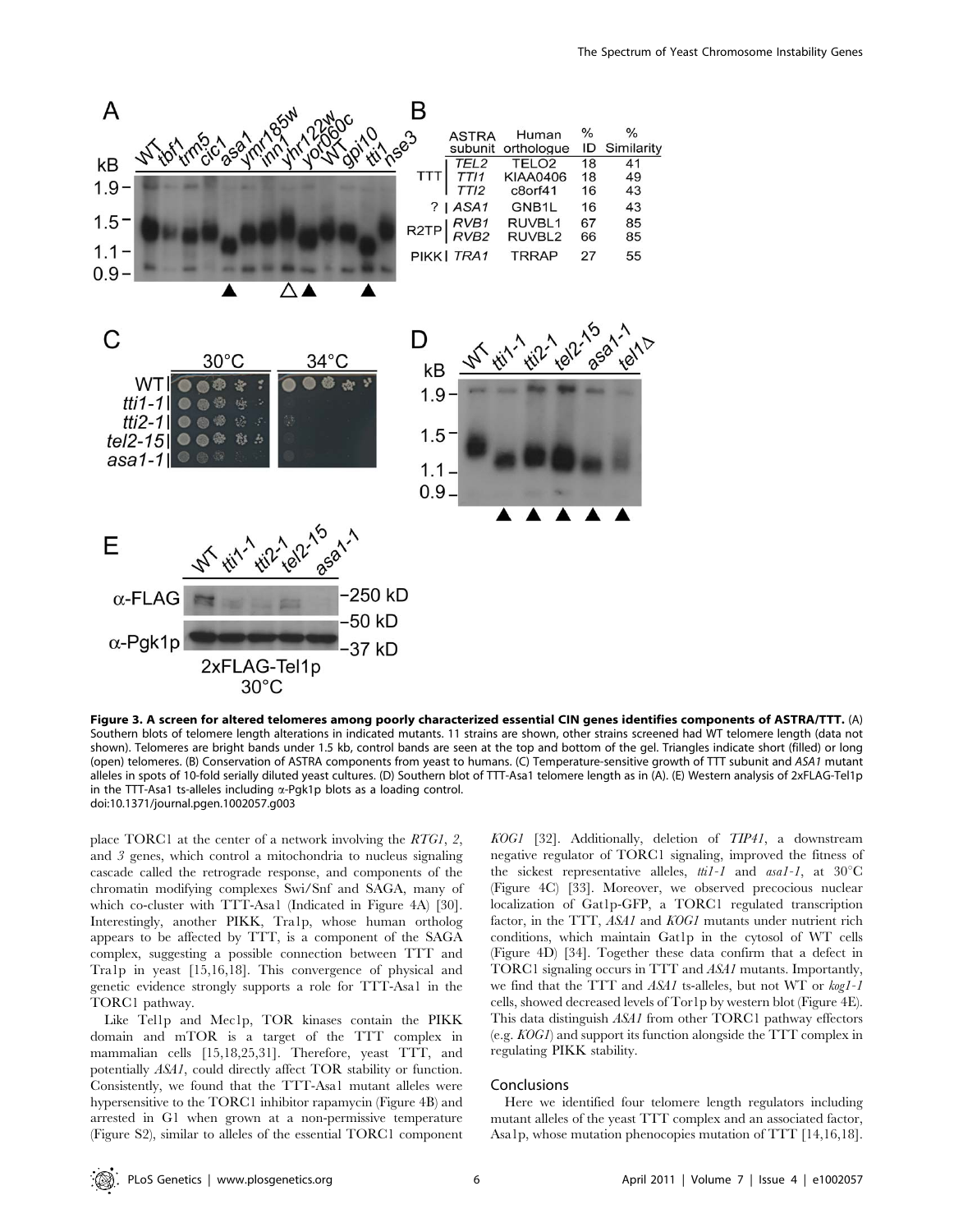

Figure 3. A screen for altered telomeres among poorly characterized essential CIN genes identifies components of ASTRA/TTT. (A) Southern blots of telomere length alterations in indicated mutants. 11 strains are shown, other strains screened had WT telomere length (data not shown). Telomeres are bright bands under 1.5 kb, control bands are seen at the top and bottom of the gel. Triangles indicate short (filled) or long (open) telomeres. (B) Conservation of ASTRA components from yeast to humans. (C) Temperature-sensitive growth of TTT subunit and ASA1 mutant alleles in spots of 10-fold serially diluted yeast cultures. (D) Southern blot of TTT-Asa1 telomere length as in (A). (E) Western analysis of 2xFLAG-Tel1p in the TTT-Asa1 ts-alleles including  $\alpha$ -Pgk1p blots as a loading control. doi:10.1371/journal.pgen.1002057.g003

place TORC1 at the center of a network involving the RTG1, 2, and 3 genes, which control a mitochondria to nucleus signaling cascade called the retrograde response, and components of the chromatin modifying complexes Swi/Snf and SAGA, many of which co-cluster with TTT-Asa1 (Indicated in Figure 4A) [30]. Interestingly, another PIKK, Tra1p, whose human ortholog appears to be affected by TTT, is a component of the SAGA complex, suggesting a possible connection between TTT and Tra1p in yeast [15,16,18]. This convergence of physical and genetic evidence strongly supports a role for TTT-Asa1 in the TORC1 pathway.

Like Tel1p and Mec1p, TOR kinases contain the PIKK domain and mTOR is a target of the TTT complex in mammalian cells [15,18,25,31]. Therefore, yeast TTT, and potentially ASA1, could directly affect TOR stability or function. Consistently, we found that the TTT-Asa1 mutant alleles were hypersensitive to the TORC1 inhibitor rapamycin (Figure 4B) and arrested in G1 when grown at a non-permissive temperature (Figure S2), similar to alleles of the essential TORC1 component KOG1 [32]. Additionally, deletion of TIP41, a downstream negative regulator of TORC1 signaling, improved the fitness of the sickest representative alleles,  $\text{til-1}$  and  $\text{asal-1}$ , at 30°C (Figure 4C) [33]. Moreover, we observed precocious nuclear localization of Gat1p-GFP, a TORC1 regulated transcription factor, in the TTT, ASA1 and KOG1 mutants under nutrient rich conditions, which maintain Gat1p in the cytosol of WT cells (Figure 4D) [34]. Together these data confirm that a defect in TORC1 signaling occurs in TTT and ASA1 mutants. Importantly, we find that the TTT and ASA1 ts-alleles, but not WT or kog1-1 cells, showed decreased levels of Tor1p by western blot (Figure 4E). This data distinguish ASA1 from other TORC1 pathway effectors (e.g. KOG1) and support its function alongside the TTT complex in regulating PIKK stability.

## Conclusions

Here we identified four telomere length regulators including mutant alleles of the yeast TTT complex and an associated factor, Asa1p, whose mutation phenocopies mutation of TTT [14,16,18].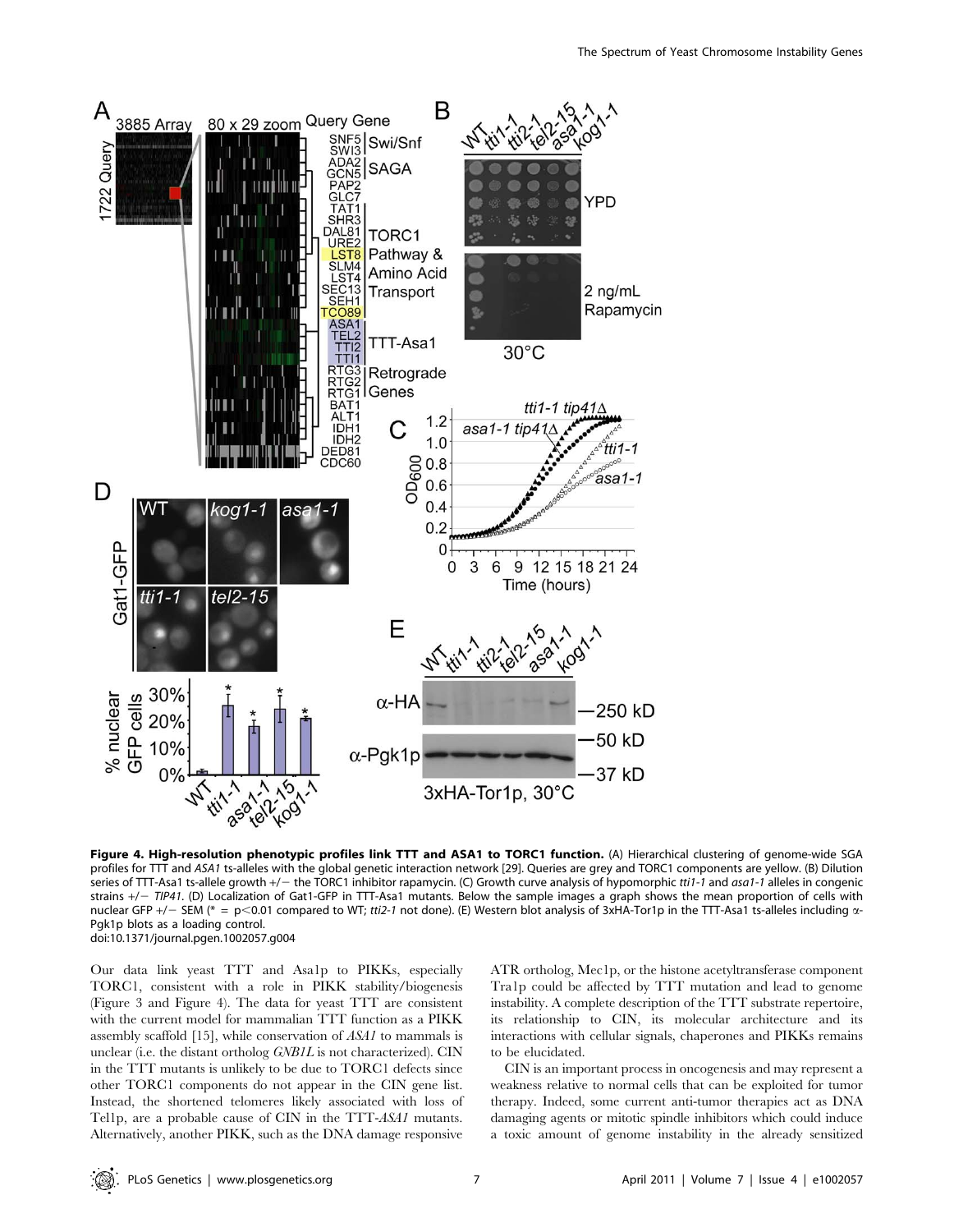

Figure 4. High-resolution phenotypic profiles link TTT and ASA1 to TORC1 function. (A) Hierarchical clustering of genome-wide SGA profiles for TTT and ASA1 ts-alleles with the global genetic interaction network [29]. Queries are grey and TORC1 components are yellow. (B) Dilution series of TTT-Asa1 ts-allele growth +/- the TORC1 inhibitor rapamycin. (C) Growth curve analysis of hypomorphic tti1-1 and asa1-1 alleles in congenic strains  $+/-$  TIP41. (D) Localization of Gat1-GFP in TTT-Asa1 mutants. Below the sample images a graph shows the mean proportion of cells with nuclear GFP +/- SEM (\* = p<0.01 compared to WT; tti2-1 not done). (E) Western blot analysis of 3xHA-Tor1p in the TTT-Asa1 ts-alleles including  $\alpha$ -Pgk1p blots as a loading control. doi:10.1371/journal.pgen.1002057.g004

Our data link yeast TTT and Asa1p to PIKKs, especially TORC1, consistent with a role in PIKK stability/biogenesis (Figure 3 and Figure 4). The data for yeast TTT are consistent with the current model for mammalian TTT function as a PIKK assembly scaffold [15], while conservation of ASA1 to mammals is unclear (i.e. the distant ortholog GNB1L is not characterized). CIN in the TTT mutants is unlikely to be due to TORC1 defects since other TORC1 components do not appear in the CIN gene list. Instead, the shortened telomeres likely associated with loss of Tel1p, are a probable cause of CIN in the TTT-ASA1 mutants. Alternatively, another PIKK, such as the DNA damage responsive ATR ortholog, Mec1p, or the histone acetyltransferase component Tra1p could be affected by TTT mutation and lead to genome instability. A complete description of the TTT substrate repertoire, its relationship to CIN, its molecular architecture and its interactions with cellular signals, chaperones and PIKKs remains to be elucidated.

CIN is an important process in oncogenesis and may represent a weakness relative to normal cells that can be exploited for tumor therapy. Indeed, some current anti-tumor therapies act as DNA damaging agents or mitotic spindle inhibitors which could induce a toxic amount of genome instability in the already sensitized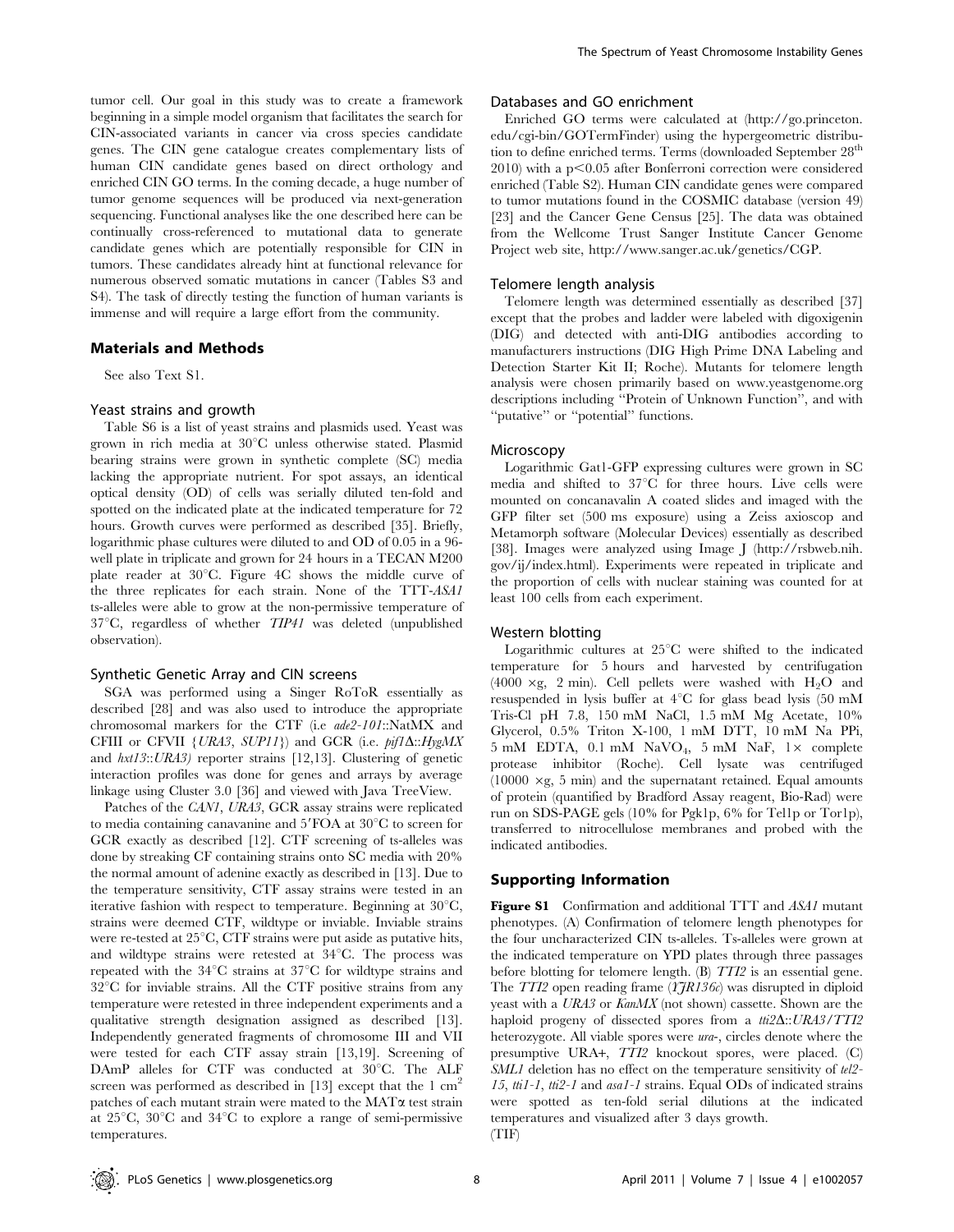tumor cell. Our goal in this study was to create a framework beginning in a simple model organism that facilitates the search for CIN-associated variants in cancer via cross species candidate genes. The CIN gene catalogue creates complementary lists of human CIN candidate genes based on direct orthology and enriched CIN GO terms. In the coming decade, a huge number of tumor genome sequences will be produced via next-generation sequencing. Functional analyses like the one described here can be continually cross-referenced to mutational data to generate candidate genes which are potentially responsible for CIN in tumors. These candidates already hint at functional relevance for numerous observed somatic mutations in cancer (Tables S3 and S4). The task of directly testing the function of human variants is immense and will require a large effort from the community.

## Materials and Methods

See also Text S1.

#### Yeast strains and growth

Table S6 is a list of yeast strains and plasmids used. Yeast was grown in rich media at  $30^{\circ}$ C unless otherwise stated. Plasmid bearing strains were grown in synthetic complete (SC) media lacking the appropriate nutrient. For spot assays, an identical optical density (OD) of cells was serially diluted ten-fold and spotted on the indicated plate at the indicated temperature for 72 hours. Growth curves were performed as described [35]. Briefly, logarithmic phase cultures were diluted to and OD of 0.05 in a 96 well plate in triplicate and grown for 24 hours in a TECAN M200 plate reader at  $30^{\circ}$ C. Figure 4C shows the middle curve of the three replicates for each strain. None of the TTT-ASA1 ts-alleles were able to grow at the non-permissive temperature of  $37^{\circ}$ C, regardless of whether  $TIP41$  was deleted (unpublished observation).

#### Synthetic Genetic Array and CIN screens

SGA was performed using a Singer RoToR essentially as described [28] and was also used to introduce the appropriate chromosomal markers for the CTF (i.e ade2-101::NatMX and CFIII or CFVII {URA3, SUP11}) and GCR (i.e.  $pi/1\Delta::HygMX$ and hxt13::URA3) reporter strains [12,13]. Clustering of genetic interaction profiles was done for genes and arrays by average linkage using Cluster 3.0 [36] and viewed with Java TreeView.

Patches of the CAN1, URA3, GCR assay strains were replicated to media containing canavanine and  $5'FOA$  at  $30^{\circ}C$  to screen for GCR exactly as described [12]. CTF screening of ts-alleles was done by streaking CF containing strains onto SC media with 20% the normal amount of adenine exactly as described in [13]. Due to the temperature sensitivity, CTF assay strains were tested in an iterative fashion with respect to temperature. Beginning at  $30^{\circ}$ C, strains were deemed CTF, wildtype or inviable. Inviable strains were re-tested at  $25^{\circ}$ C, CTF strains were put aside as putative hits, and wildtype strains were retested at  $34^{\circ}$ C. The process was repeated with the  $34^{\circ}$ C strains at  $37^{\circ}$ C for wildtype strains and  $32^{\circ}$ C for inviable strains. All the CTF positive strains from any temperature were retested in three independent experiments and a qualitative strength designation assigned as described [13]. Independently generated fragments of chromosome III and VII were tested for each CTF assay strain [13,19]. Screening of DAmP alleles for CTF was conducted at  $30^{\circ}$ C. The ALF screen was performed as described in [13] except that the 1  $\text{cm}^2$ patches of each mutant strain were mated to the MATa test strain at  $25^{\circ}$ C,  $30^{\circ}$ C and  $34^{\circ}$ C to explore a range of semi-permissive temperatures.

## Databases and GO enrichment

Enriched GO terms were calculated at (http://go.princeton. edu/cgi-bin/GOTermFinder) using the hypergeometric distribution to define enriched terms. Terms (downloaded September 28<sup>th</sup>  $2010$ ) with a p $\leq 0.05$  after Bonferroni correction were considered enriched (Table S2). Human CIN candidate genes were compared to tumor mutations found in the COSMIC database (version 49) [23] and the Cancer Gene Census [25]. The data was obtained from the Wellcome Trust Sanger Institute Cancer Genome Project web site, http://www.sanger.ac.uk/genetics/CGP.

#### Telomere length analysis

Telomere length was determined essentially as described [37] except that the probes and ladder were labeled with digoxigenin (DIG) and detected with anti-DIG antibodies according to manufacturers instructions (DIG High Prime DNA Labeling and Detection Starter Kit II; Roche). Mutants for telomere length analysis were chosen primarily based on www.yeastgenome.org descriptions including ''Protein of Unknown Function'', and with ''putative'' or ''potential'' functions.

#### Microscopy

Logarithmic Gat1-GFP expressing cultures were grown in SC media and shifted to  $37^{\circ}$ C for three hours. Live cells were mounted on concanavalin A coated slides and imaged with the GFP filter set (500 ms exposure) using a Zeiss axioscop and Metamorph software (Molecular Devices) essentially as described [38]. Images were analyzed using Image J (http://rsbweb.nih. gov/ij/index.html). Experiments were repeated in triplicate and the proportion of cells with nuclear staining was counted for at least 100 cells from each experiment.

## Western blotting

Logarithmic cultures at  $25^{\circ}$ C were shifted to the indicated temperature for 5 hours and harvested by centrifugation (4000  $\times$ g, 2 min). Cell pellets were washed with H<sub>2</sub>O and resuspended in lysis buffer at  $4^{\circ}$ C for glass bead lysis (50 mM Tris-Cl pH 7.8, 150 mM NaCl, 1.5 mM Mg Acetate, 10% Glycerol, 0.5% Triton X-100, 1 mM DTT, 10 mM Na PPi,  $5 \text{ mM}$  EDTA,  $0.1 \text{ mM}$  NaVO<sub>4</sub>,  $5 \text{ mM}$  NaF,  $1 \times$  complete protease inhibitor (Roche). Cell lysate was centrifuged  $(10000 \times g, 5 \text{ min})$  and the supernatant retained. Equal amounts of protein (quantified by Bradford Assay reagent, Bio-Rad) were run on SDS-PAGE gels (10% for Pgk1p, 6% for Tel1p or Tor1p), transferred to nitrocellulose membranes and probed with the indicated antibodies.

#### Supporting Information

Figure S1 Confirmation and additional TTT and ASA1 mutant phenotypes. (A) Confirmation of telomere length phenotypes for the four uncharacterized CIN ts-alleles. Ts-alleles were grown at the indicated temperature on YPD plates through three passages before blotting for telomere length. (B) TTI2 is an essential gene. The  $TTI2$  open reading frame  $(TJR136c)$  was disrupted in diploid yeast with a URA3 or KanMX (not shown) cassette. Shown are the haploid progeny of dissected spores from a  $\text{tri2}\Delta$ :: $\text{URA3}/\text{T}$ heterozygote. All viable spores were ura-, circles denote where the presumptive URA+, TTI2 knockout spores, were placed. (C) SML1 deletion has no effect on the temperature sensitivity of tel2-15, tti1-1, tti2-1 and asa1-1 strains. Equal ODs of indicated strains were spotted as ten-fold serial dilutions at the indicated temperatures and visualized after 3 days growth.

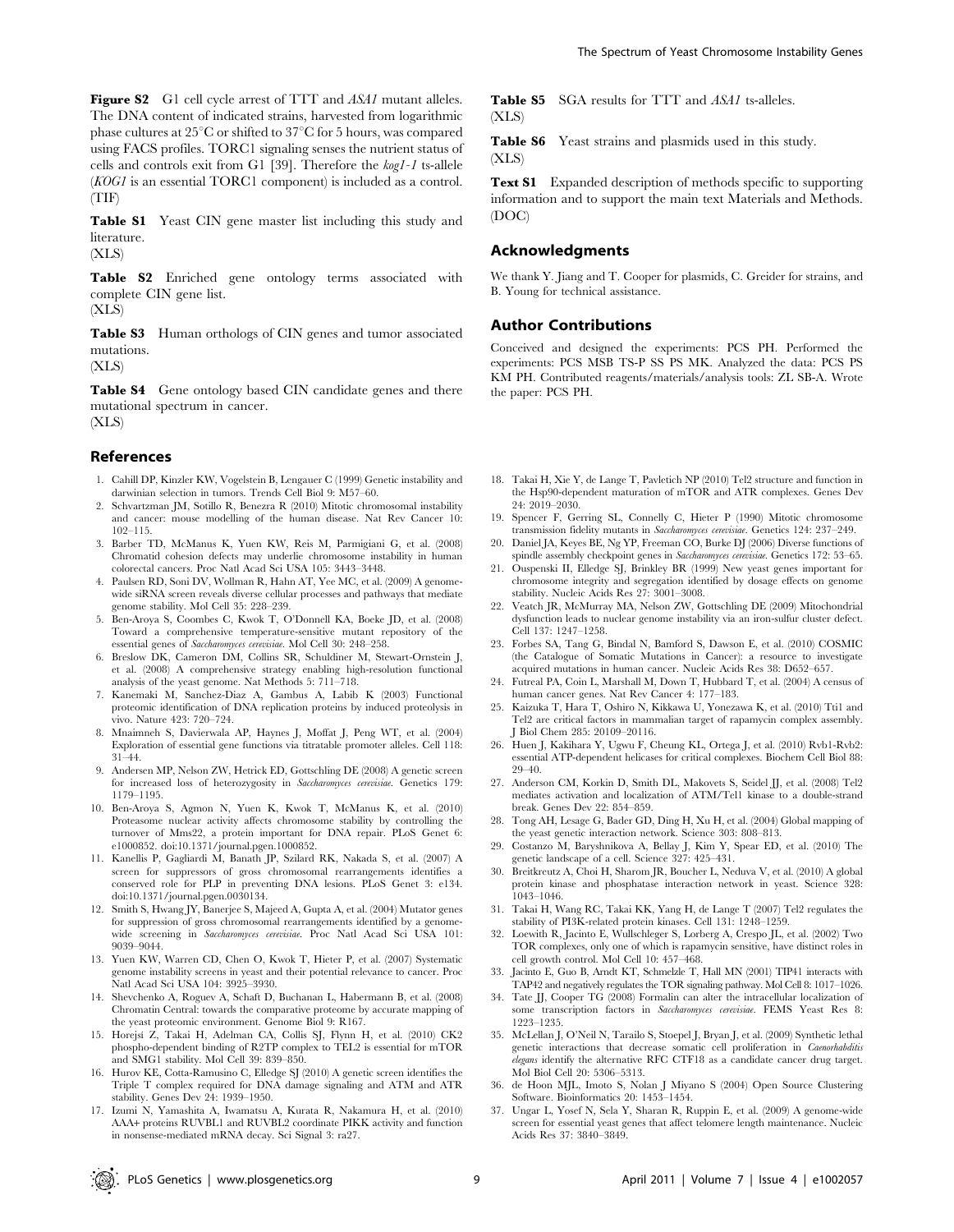Figure S2 G1 cell cycle arrest of TTT and ASA1 mutant alleles. The DNA content of indicated strains, harvested from logarithmic phase cultures at  $25^{\circ}$ C or shifted to  $37^{\circ}$ C for 5 hours, was compared using FACS profiles. TORC1 signaling senses the nutrient status of cells and controls exit from G1 [39]. Therefore the kog1-1 ts-allele (KOG1 is an essential TORC1 component) is included as a control. (TIF)

Table S1 Yeast CIN gene master list including this study and literature.

(XLS)

Table S2 Enriched gene ontology terms associated with complete CIN gene list.

(XLS)

Table S3 Human orthologs of CIN genes and tumor associated mutations.

(XLS)

Table S4 Gene ontology based CIN candidate genes and there mutational spectrum in cancer. (XLS)

## References

- 1. Cahill DP, Kinzler KW, Vogelstein B, Lengauer C (1999) Genetic instability and darwinian selection in tumors. Trends Cell Biol 9: M57–60.
- 2. Schvartzman JM, Sotillo R, Benezra R (2010) Mitotic chromosomal instability and cancer: mouse modelling of the human disease. Nat Rev Cancer 10: 102–115.
- 3. Barber TD, McManus K, Yuen KW, Reis M, Parmigiani G, et al. (2008) Chromatid cohesion defects may underlie chromosome instability in human colorectal cancers. Proc Natl Acad Sci USA 105: 3443–3448.
- 4. Paulsen RD, Soni DV, Wollman R, Hahn AT, Yee MC, et al. (2009) A genomewide siRNA screen reveals diverse cellular processes and pathways that mediate genome stability. Mol Cell 35: 228–239.
- 5. Ben-Aroya S, Coombes C, Kwok T, O'Donnell KA, Boeke JD, et al. (2008) Toward a comprehensive temperature-sensitive mutant repository of the essential genes of Saccharomyces cerevisiae. Mol Cell 30: 248–258.
- 6. Breslow DK, Cameron DM, Collins SR, Schuldiner M, Stewart-Ornstein J, et al. (2008) A comprehensive strategy enabling high-resolution functional analysis of the yeast genome. Nat Methods 5: 711–718.
- 7. Kanemaki M, Sanchez-Diaz A, Gambus A, Labib K (2003) Functional proteomic identification of DNA replication proteins by induced proteolysis in vivo. Nature 423: 720–724.
- 8. Mnaimneh S, Davierwala AP, Haynes J, Moffat J, Peng WT, et al. (2004) Exploration of essential gene functions via titratable promoter alleles. Cell 118: 31–44.
- 9. Andersen MP, Nelson ZW, Hetrick ED, Gottschling DE (2008) A genetic screen for increased loss of heterozygosity in Saccharomyces cerevisiae. Genetics 179: 1179–1195.
- 10. Ben-Aroya S, Agmon N, Yuen K, Kwok T, McManus K, et al. (2010) Proteasome nuclear activity affects chromosome stability by controlling the turnover of Mms22, a protein important for DNA repair. PLoS Genet 6: e1000852. doi:10.1371/journal.pgen.1000852.
- 11. Kanellis P, Gagliardi M, Banath JP, Szilard RK, Nakada S, et al. (2007) A screen for suppressors of gross chromosomal rearrangements identifies a conserved role for PLP in preventing DNA lesions. PLoS Genet 3: e134. doi:10.1371/journal.pgen.0030134.
- 12. Smith S, Hwang JY, Banerjee S, Majeed A, Gupta A, et al. (2004) Mutator genes for suppression of gross chromosomal rearrangements identified by a genomewide screening in Saccharomyces cerevisiae. Proc Natl Acad Sci USA 101: 9039–9044.
- 13. Yuen KW, Warren CD, Chen O, Kwok T, Hieter P, et al. (2007) Systematic genome instability screens in yeast and their potential relevance to cancer. Proc Natl Acad Sci USA 104: 3925–3930.
- 14. Shevchenko A, Roguev A, Schaft D, Buchanan L, Habermann B, et al. (2008) Chromatin Central: towards the comparative proteome by accurate mapping of the yeast proteomic environment. Genome Biol 9: R167.
- 15. Horejsı´ Z, Takai H, Adelman CA, Collis SJ, Flynn H, et al. (2010) CK2 phospho-dependent binding of R2TP complex to TEL2 is essential for mTOR and SMG1 stability. Mol Cell 39: 839–850.
- 16. Hurov KE, Cotta-Ramusino C, Elledge SJ (2010) A genetic screen identifies the Triple T complex required for DNA damage signaling and ATM and ATR stability. Genes Dev 24: 1939–1950.
- 17. Izumi N, Yamashita A, Iwamatsu A, Kurata R, Nakamura H, et al. (2010) AAA+ proteins RUVBL1 and RUVBL2 coordinate PIKK activity and function in nonsense-mediated mRNA decay. Sci Signal 3: ra27.

Table S5 SGA results for TTT and ASA1 ts-alleles. (XLS)

Table S6 Yeast strains and plasmids used in this study. (XLS)

Text S1 Expanded description of methods specific to supporting information and to support the main text Materials and Methods. (DOC)

#### Acknowledgments

We thank Y. Jiang and T. Cooper for plasmids, C. Greider for strains, and B. Young for technical assistance.

#### Author Contributions

Conceived and designed the experiments: PCS PH. Performed the experiments: PCS MSB TS-P SS PS MK. Analyzed the data: PCS PS KM PH. Contributed reagents/materials/analysis tools: ZL SB-A. Wrote the paper: PCS PH.

- 18. Takai H, Xie Y, de Lange T, Pavletich NP (2010) Tel2 structure and function in the Hsp90-dependent maturation of mTOR and ATR complexes. Genes Dev 24: 2019–2030.
- 19. Spencer F, Gerring SL, Connelly C, Hieter P (1990) Mitotic chromosome transmission fidelity mutants in Saccharomyces cerevisiae. Genetics 124: 237–249.
- 20. Daniel JA, Keyes BE, Ng YP, Freeman CO, Burke DJ (2006) Diverse functions of spindle assembly checkpoint genes in Saccharomyces cerevisiae. Genetics 172: 53-65.
- 21. Ouspenski II, Elledge SJ, Brinkley BR (1999) New yeast genes important for chromosome integrity and segregation identified by dosage effects on genome stability. Nucleic Acids Res 27: 3001–3008.
- 22. Veatch JR, McMurray MA, Nelson ZW, Gottschling DE (2009) Mitochondrial dysfunction leads to nuclear genome instability via an iron-sulfur cluster defect. Cell 137: 1247–1258.
- 23. Forbes SA, Tang G, Bindal N, Bamford S, Dawson E, et al. (2010) COSMIC (the Catalogue of Somatic Mutations in Cancer): a resource to investigate acquired mutations in human cancer. Nucleic Acids Res 38: D652–657.
- 24. Futreal PA, Coin L, Marshall M, Down T, Hubbard T, et al. (2004) A census of human cancer genes. Nat Rev Cancer 4: 177–183.
- 25. Kaizuka T, Hara T, Oshiro N, Kikkawa U, Yonezawa K, et al. (2010) Tti1 and Tel2 are critical factors in mammalian target of rapamycin complex assembly. J Biol Chem 285: 20109–20116.
- 26. Huen J, Kakihara Y, Ugwu F, Cheung KL, Ortega J, et al. (2010) Rvb1-Rvb2: essential ATP-dependent helicases for critical complexes. Biochem Cell Biol 88: 29–40.
- 27. Anderson CM, Korkin D, Smith DL, Makovets S, Seidel JJ, et al. (2008) Tel2 mediates activation and localization of ATM/Tel1 kinase to a double-strand break. Genes Dev 22: 854–859.
- 28. Tong AH, Lesage G, Bader GD, Ding H, Xu H, et al. (2004) Global mapping of the yeast genetic interaction network. Science 303: 808–813.
- 29. Costanzo M, Baryshnikova A, Bellay J, Kim Y, Spear ED, et al. (2010) The genetic landscape of a cell. Science 327: 425–431.
- 30. Breitkreutz A, Choi H, Sharom JR, Boucher L, Neduva V, et al. (2010) A global protein kinase and phosphatase interaction network in yeast. Science 328: 1043–1046.
- 31. Takai H, Wang RC, Takai KK, Yang H, de Lange T (2007) Tel2 regulates the stability of PI3K-related protein kinases. Cell 131: 1248–1259.
- 32. Loewith R, Jacinto E, Wullschleger S, Lorberg A, Crespo JL, et al. (2002) Two TOR complexes, only one of which is rapamycin sensitive, have distinct roles in cell growth control. Mol Cell 10: 457–468.
- 33. Jacinto E, Guo B, Arndt KT, Schmelzle T, Hall MN (2001) TIP41 interacts with TAP42 and negatively regulates the TOR signaling pathway. Mol Cell 8: 1017–1026.
- 34. Tate JJ, Cooper TG (2008) Formalin can alter the intracellular localization of some transcription factors in Saccharomyces cerevisiae. FEMS Yeast Res 8: 1223–1235.
- 35. McLellan J, O'Neil N, Tarailo S, Stoepel J, Bryan J, et al. (2009) Synthetic lethal genetic interactions that decrease somatic cell proliferation in Caenorhabditis elegans identify the alternative RFC CTF18 as a candidate cancer drug target. Mol Biol Cell 20: 5306–5313.
- 36. de Hoon MJL, Imoto S, Nolan J Miyano S (2004) Open Source Clustering Software. Bioinformatics 20: 1453–1454.
- 37. Ungar L, Yosef N, Sela Y, Sharan R, Ruppin E, et al. (2009) A genome-wide screen for essential yeast genes that affect telomere length maintenance. Nucleic Acids Res 37: 3840–3849.